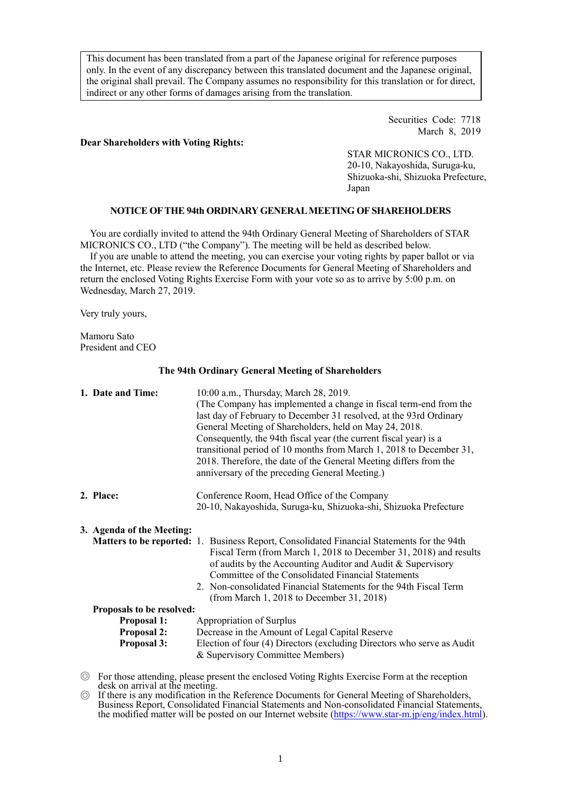This document has been translated from a part of the Japanese original for reference purposes only. In the event of any discrepancy between this translated document and the Japanese original, the original shall prevail. The Company assumes no responsibility for this translation or for direct, indirect or any other forms of damages arising from the translation.

## Securities Code: 7718 March 8, 2019

# **Dear Shareholders with Voting Rights:**

STAR MICRONICS CO., LTD. 20-10, Nakayoshida, Suruga-ku, Shizuoka-shi, Shizuoka Prefecture, Japan

# **NOTICE OF THE 94th ORDINARY GENERAL MEETING OF SHAREHOLDERS**

You are cordially invited to attend the 94th Ordinary General Meeting of Shareholders of STAR MICRONICS CO., LTD ("the Company"). The meeting will be held as described below.

If you are unable to attend the meeting, you can exercise your voting rights by paper ballot or via the Internet, etc. Please review the Reference Documents for General Meeting of Shareholders and return the enclosed Voting Rights Exercise Form with your vote so as to arrive by 5:00 p.m. on Wednesday, March 27, 2019.

Very truly yours,

Mamoru Sato President and CEO

### **The 94th Ordinary General Meeting of Shareholders**

| 1. Date and Time:                                                                           | 10:00 a.m., Thursday, March 28, 2019.<br>(The Company has implemented a change in fiscal term-end from the<br>last day of February to December 31 resolved, at the 93rd Ordinary<br>General Meeting of Shareholders, held on May 24, 2018.<br>Consequently, the 94th fiscal year (the current fiscal year) is a<br>transitional period of 10 months from March 1, 2018 to December 31,<br>2018. Therefore, the date of the General Meeting differs from the<br>anniversary of the preceding General Meeting.) |  |  |
|---------------------------------------------------------------------------------------------|---------------------------------------------------------------------------------------------------------------------------------------------------------------------------------------------------------------------------------------------------------------------------------------------------------------------------------------------------------------------------------------------------------------------------------------------------------------------------------------------------------------|--|--|
| 2. Place:                                                                                   | Conference Room, Head Office of the Company<br>20-10, Nakayoshida, Suruga-ku, Shizuoka-shi, Shizuoka Prefecture                                                                                                                                                                                                                                                                                                                                                                                               |  |  |
| 3. Agenda of the Meeting:                                                                   | Matters to be reported: 1. Business Report, Consolidated Financial Statements for the 94th<br>Fiscal Term (from March 1, 2018 to December 31, 2018) and results<br>of audits by the Accounting Auditor and Audit & Supervisory<br>Committee of the Consolidated Financial Statements<br>2. Non-consolidated Financial Statements for the 94th Fiscal Term<br>(from March 1, 2018 to December 31, 2018)                                                                                                        |  |  |
| Proposals to be resolved:<br><b>Proposal 1:</b><br><b>Proposal 2:</b><br><b>Proposal 3:</b> | Appropriation of Surplus<br>Decrease in the Amount of Legal Capital Reserve<br>Election of four (4) Directors (excluding Directors who serve as Audit<br>& Supervisory Committee Members)                                                                                                                                                                                                                                                                                                                     |  |  |

◎ For those attending, please present the enclosed Voting Rights Exercise Form at the reception desk on arrival at the meeting.

◎ If there is any modification in the Reference Documents for General Meeting of Shareholders, Business Report, Consolidated Financial Statements and Non-consolidated Financial Statements, the modified matter will be posted on our Internet website [\(https://www.star-m.jp/eng/index.html\)](https://www.star-m.jp/eng/index.html).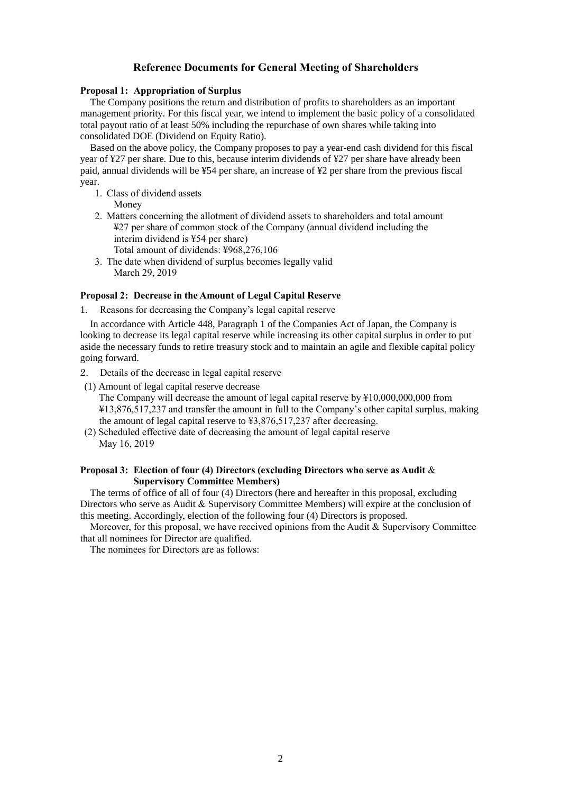## **Reference Documents for General Meeting of Shareholders**

#### **Proposal 1: Appropriation of Surplus**

The Company positions the return and distribution of profits to shareholders as an important management priority. For this fiscal year, we intend to implement the basic policy of a consolidated total payout ratio of at least 50% including the repurchase of own shares while taking into consolidated DOE (Dividend on Equity Ratio).

Based on the above policy, the Company proposes to pay a year-end cash dividend for this fiscal year of ¥27 per share. Due to this, because interim dividends of ¥27 per share have already been paid, annual dividends will be ¥54 per share, an increase of ¥2 per share from the previous fiscal year.

- 1. Class of dividend assets
	- Money
- 2. Matters concerning the allotment of dividend assets to shareholders and total amount ¥27 per share of common stock of the Company (annual dividend including the interim dividend is ¥54 per share)
	- Total amount of dividends: ¥968,276,106
- 3. The date when dividend of surplus becomes legally valid March 29, 2019

### **Proposal 2: Decrease in the Amount of Legal Capital Reserve**

1. Reasons for decreasing the Company's legal capital reserve

In accordance with Article 448, Paragraph 1 of the Companies Act of Japan, the Company is looking to decrease its legal capital reserve while increasing its other capital surplus in order to put aside the necessary funds to retire treasury stock and to maintain an agile and flexible capital policy going forward.

- 2. Details of the decrease in legal capital reserve
- (1) Amount of legal capital reserve decrease The Company will decrease the amount of legal capital reserve by ¥10,000,000,000 from

¥13,876,517,237 and transfer the amount in full to the Company's other capital surplus, making the amount of legal capital reserve to ¥3,876,517,237 after decreasing.

(2) Scheduled effective date of decreasing the amount of legal capital reserve May 16, 2019

## **Proposal 3: Election of four (4) Directors (excluding Directors who serve as Audit** & **Supervisory Committee Members)**

The terms of office of all of four (4) Directors (here and hereafter in this proposal, excluding Directors who serve as Audit & Supervisory Committee Members) will expire at the conclusion of this meeting. Accordingly, election of the following four (4) Directors is proposed.

Moreover, for this proposal, we have received opinions from the Audit  $\&$  Supervisory Committee that all nominees for Director are qualified.

The nominees for Directors are as follows: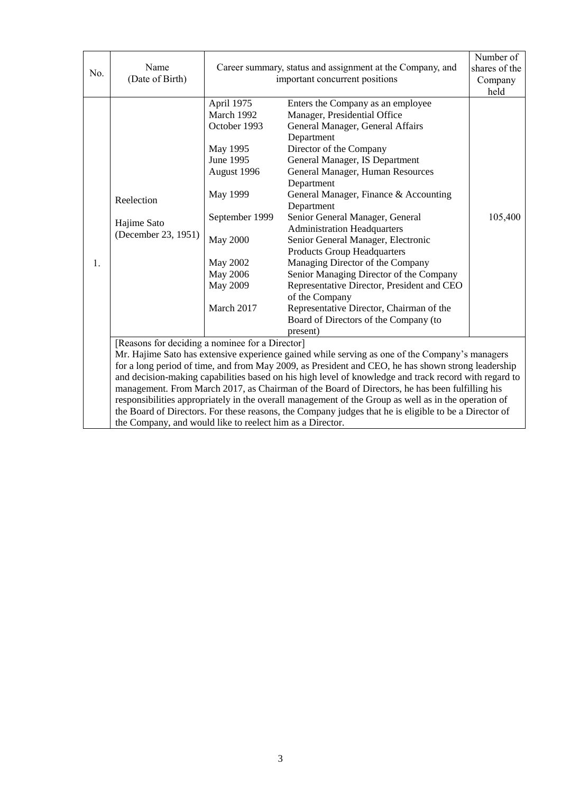| No. | Name<br>(Date of Birth)                                                                                                                                                                                                                                                                                                                                                                                                                                                                                                                                                                                                                                                                                                                          | Career summary, status and assignment at the Company, and<br>important concurrent positions                                                                                                       |                                                                                                                                                                                                                                                                                                                                                                                                                                                                                                                                                                                                                                                                                                | Number of<br>shares of the<br>Company<br>held |  |
|-----|--------------------------------------------------------------------------------------------------------------------------------------------------------------------------------------------------------------------------------------------------------------------------------------------------------------------------------------------------------------------------------------------------------------------------------------------------------------------------------------------------------------------------------------------------------------------------------------------------------------------------------------------------------------------------------------------------------------------------------------------------|---------------------------------------------------------------------------------------------------------------------------------------------------------------------------------------------------|------------------------------------------------------------------------------------------------------------------------------------------------------------------------------------------------------------------------------------------------------------------------------------------------------------------------------------------------------------------------------------------------------------------------------------------------------------------------------------------------------------------------------------------------------------------------------------------------------------------------------------------------------------------------------------------------|-----------------------------------------------|--|
| 1.  | Reelection<br>Hajime Sato<br>(December 23, 1951)                                                                                                                                                                                                                                                                                                                                                                                                                                                                                                                                                                                                                                                                                                 | April 1975<br>March 1992<br>October 1993<br>May 1995<br>June 1995<br>August 1996<br>May 1999<br>September 1999<br><b>May 2000</b><br><b>May 2002</b><br>May 2006<br><b>May 2009</b><br>March 2017 | Enters the Company as an employee<br>Manager, Presidential Office<br>General Manager, General Affairs<br>Department<br>Director of the Company<br>General Manager, IS Department<br>General Manager, Human Resources<br>Department<br>General Manager, Finance & Accounting<br>Department<br>Senior General Manager, General<br><b>Administration Headquarters</b><br>Senior General Manager, Electronic<br><b>Products Group Headquarters</b><br>Managing Director of the Company<br>Senior Managing Director of the Company<br>Representative Director, President and CEO<br>of the Company<br>Representative Director, Chairman of the<br>Board of Directors of the Company (to<br>present) | 105,400                                       |  |
|     | [Reasons for deciding a nominee for a Director]<br>Mr. Hajime Sato has extensive experience gained while serving as one of the Company's managers<br>for a long period of time, and from May 2009, as President and CEO, he has shown strong leadership<br>and decision-making capabilities based on his high level of knowledge and track record with regard to<br>management. From March 2017, as Chairman of the Board of Directors, he has been fulfilling his<br>responsibilities appropriately in the overall management of the Group as well as in the operation of<br>the Board of Directors. For these reasons, the Company judges that he is eligible to be a Director of<br>the Company, and would like to reelect him as a Director. |                                                                                                                                                                                                   |                                                                                                                                                                                                                                                                                                                                                                                                                                                                                                                                                                                                                                                                                                |                                               |  |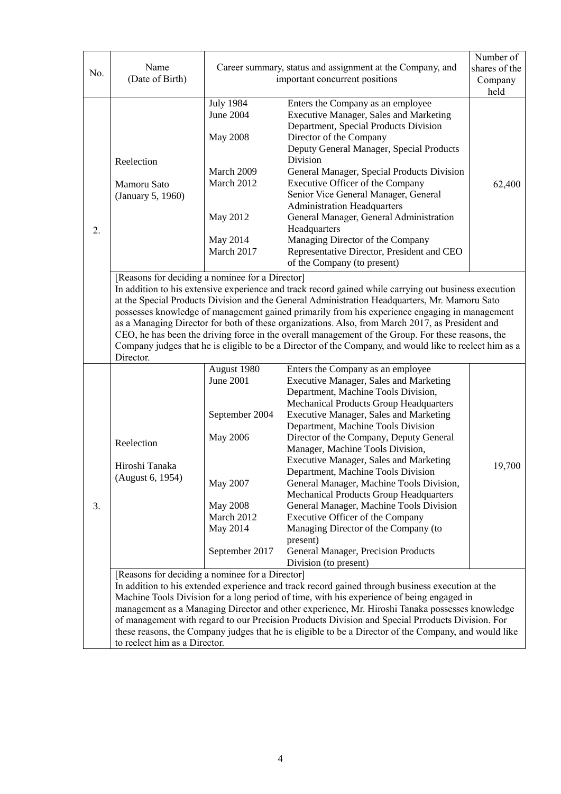| No. | Name<br>(Date of Birth)                                                                                                                                                                                                                                                                                                                                                                                                                                                                                                                                                                                                                                                                                                  | Career summary, status and assignment at the Company, and<br>important concurrent positions                                                     |                                                                                                                                                                                                                                                                                                                                                                                                                                                                                                                                                                                                                                                                                                                                                                                                                                                                                                                                                                                                                                                                                                                                                                                                                                                         | Number of<br>shares of the<br>Company<br>held |  |  |
|-----|--------------------------------------------------------------------------------------------------------------------------------------------------------------------------------------------------------------------------------------------------------------------------------------------------------------------------------------------------------------------------------------------------------------------------------------------------------------------------------------------------------------------------------------------------------------------------------------------------------------------------------------------------------------------------------------------------------------------------|-------------------------------------------------------------------------------------------------------------------------------------------------|---------------------------------------------------------------------------------------------------------------------------------------------------------------------------------------------------------------------------------------------------------------------------------------------------------------------------------------------------------------------------------------------------------------------------------------------------------------------------------------------------------------------------------------------------------------------------------------------------------------------------------------------------------------------------------------------------------------------------------------------------------------------------------------------------------------------------------------------------------------------------------------------------------------------------------------------------------------------------------------------------------------------------------------------------------------------------------------------------------------------------------------------------------------------------------------------------------------------------------------------------------|-----------------------------------------------|--|--|
| 2.  | Reelection<br>Mamoru Sato<br>(January 5, 1960)                                                                                                                                                                                                                                                                                                                                                                                                                                                                                                                                                                                                                                                                           | <b>July 1984</b><br>June 2004<br><b>May 2008</b><br>March 2009<br>March 2012<br>May 2012<br>May 2014<br>March 2017                              | Enters the Company as an employee<br><b>Executive Manager, Sales and Marketing</b><br>Department, Special Products Division<br>Director of the Company<br>Deputy General Manager, Special Products<br>Division<br>General Manager, Special Products Division<br>Executive Officer of the Company<br>Senior Vice General Manager, General<br><b>Administration Headquarters</b><br>General Manager, General Administration<br>Headquarters<br>Managing Director of the Company<br>Representative Director, President and CEO                                                                                                                                                                                                                                                                                                                                                                                                                                                                                                                                                                                                                                                                                                                             | 62,400                                        |  |  |
|     | of the Company (to present)<br>[Reasons for deciding a nominee for a Director]<br>In addition to his extensive experience and track record gained while carrying out business execution<br>at the Special Products Division and the General Administration Headquarters, Mr. Mamoru Sato<br>possesses knowledge of management gained primarily from his experience engaging in management<br>as a Managing Director for both of these organizations. Also, from March 2017, as President and<br>CEO, he has been the driving force in the overall management of the Group. For these reasons, the<br>Company judges that he is eligible to be a Director of the Company, and would like to reelect him as a<br>Director. |                                                                                                                                                 |                                                                                                                                                                                                                                                                                                                                                                                                                                                                                                                                                                                                                                                                                                                                                                                                                                                                                                                                                                                                                                                                                                                                                                                                                                                         |                                               |  |  |
| 3.  | Reelection<br>Hiroshi Tanaka<br>(August 6, 1954)<br>[Reasons for deciding a nominee for a Director]                                                                                                                                                                                                                                                                                                                                                                                                                                                                                                                                                                                                                      | August 1980<br><b>June 2001</b><br>September 2004<br><b>May 2006</b><br>May 2007<br><b>May 2008</b><br>March 2012<br>May 2014<br>September 2017 | Enters the Company as an employee<br><b>Executive Manager, Sales and Marketing</b><br>Department, Machine Tools Division,<br><b>Mechanical Products Group Headquarters</b><br><b>Executive Manager, Sales and Marketing</b><br>Department, Machine Tools Division<br>Director of the Company, Deputy General<br>Manager, Machine Tools Division,<br><b>Executive Manager, Sales and Marketing</b><br>Department, Machine Tools Division<br>General Manager, Machine Tools Division,<br><b>Mechanical Products Group Headquarters</b><br>General Manager, Machine Tools Division<br>Executive Officer of the Company<br>Managing Director of the Company (to<br>present)<br>General Manager, Precision Products<br>Division (to present)<br>In addition to his extended experience and track record gained through business execution at the<br>Machine Tools Division for a long period of time, with his experience of being engaged in<br>management as a Managing Director and other experience, Mr. Hiroshi Tanaka possesses knowledge<br>of management with regard to our Precision Products Division and Special Prroducts Division. For<br>these reasons, the Company judges that he is eligible to be a Director of the Company, and would like | 19,700                                        |  |  |